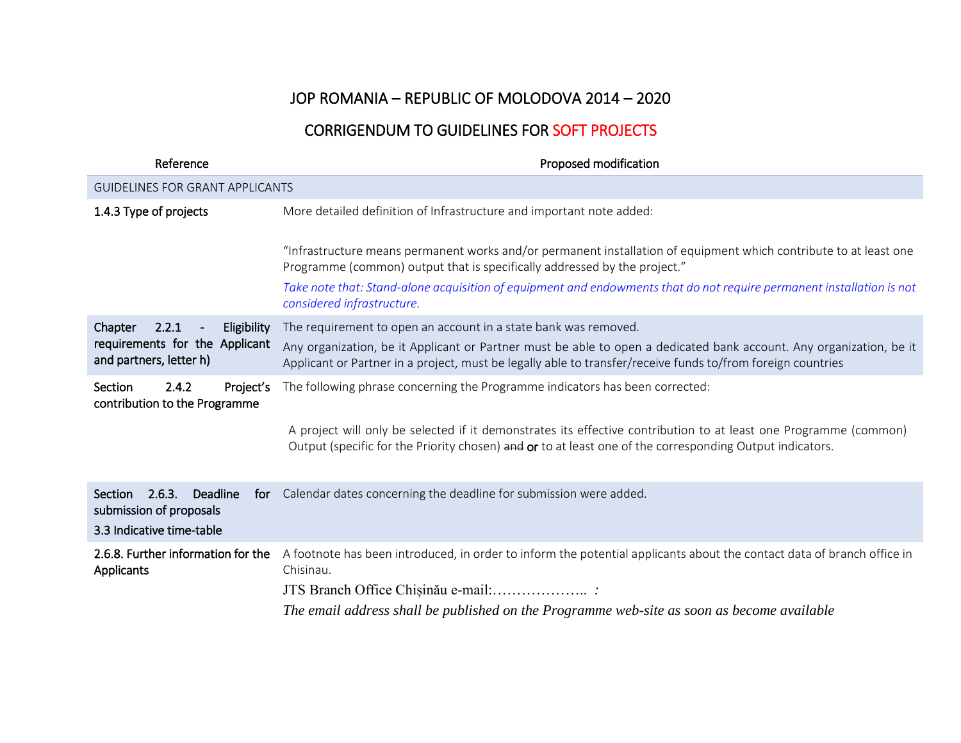## JOP ROMANIA – REPUBLIC OF MOLODOVA 2014 – 2020

## CORRIGENDUM TO GUIDELINES FOR SOFT PROJECTS

| Reference                                                                                    | Proposed modification                                                                                                                                                                                                              |  |
|----------------------------------------------------------------------------------------------|------------------------------------------------------------------------------------------------------------------------------------------------------------------------------------------------------------------------------------|--|
| <b>GUIDELINES FOR GRANT APPLICANTS</b>                                                       |                                                                                                                                                                                                                                    |  |
| 1.4.3 Type of projects                                                                       | More detailed definition of Infrastructure and important note added:                                                                                                                                                               |  |
|                                                                                              | "Infrastructure means permanent works and/or permanent installation of equipment which contribute to at least one<br>Programme (common) output that is specifically addressed by the project."                                     |  |
|                                                                                              | Take note that: Stand-alone acquisition of equipment and endowments that do not require permanent installation is not<br>considered infrastructure.                                                                                |  |
| 2.2.1<br>Eligibility<br>Chapter<br>requirements for the Applicant<br>and partners, letter h) | The requirement to open an account in a state bank was removed.                                                                                                                                                                    |  |
|                                                                                              | Any organization, be it Applicant or Partner must be able to open a dedicated bank account. Any organization, be it<br>Applicant or Partner in a project, must be legally able to transfer/receive funds to/from foreign countries |  |
| Section<br>2.4.2<br>Project's<br>contribution to the Programme                               | The following phrase concerning the Programme indicators has been corrected:                                                                                                                                                       |  |
|                                                                                              | A project will only be selected if it demonstrates its effective contribution to at least one Programme (common)<br>Output (specific for the Priority chosen) and or to at least one of the corresponding Output indicators.       |  |
| 2.6.3.<br>Deadline<br>Section<br>submission of proposals<br>3.3 Indicative time-table        | for Calendar dates concerning the deadline for submission were added.                                                                                                                                                              |  |
| 2.6.8. Further information for the<br>Applicants                                             | A footnote has been introduced, in order to inform the potential applicants about the contact data of branch office in<br>Chisinau.                                                                                                |  |
|                                                                                              |                                                                                                                                                                                                                                    |  |
|                                                                                              | The email address shall be published on the Programme web-site as soon as become available                                                                                                                                         |  |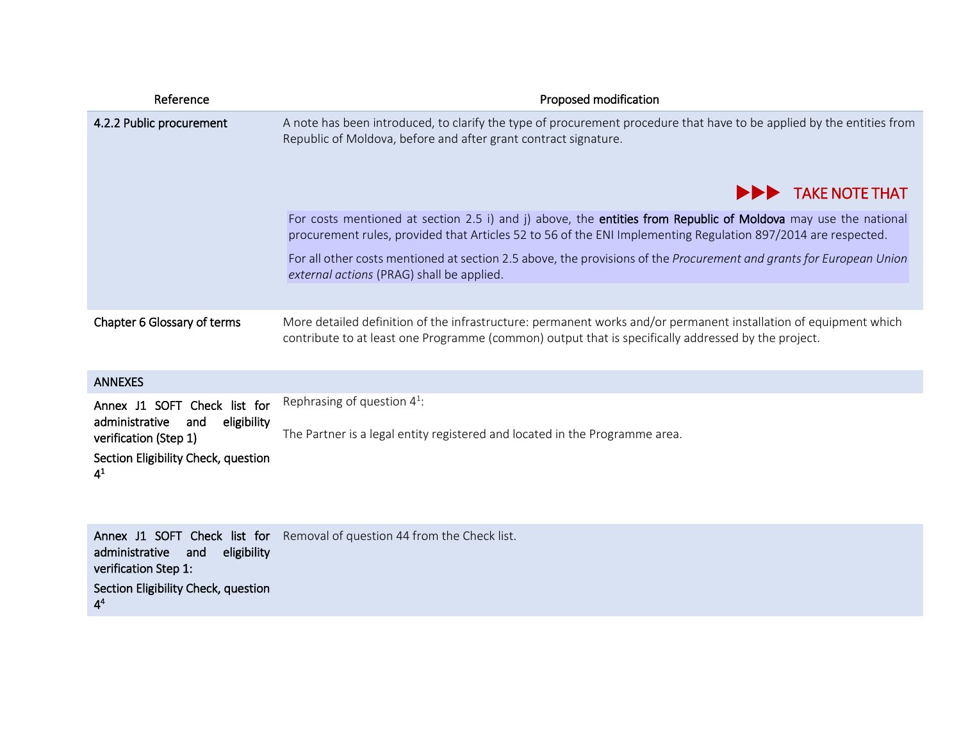| Reference                   | Proposed modification                                                                                                                                                                                                           |
|-----------------------------|---------------------------------------------------------------------------------------------------------------------------------------------------------------------------------------------------------------------------------|
| 4.2.2 Public procurement    | A note has been introduced, to clarify the type of procurement procedure that have to be applied by the entities from<br>Republic of Moldova, before and after grant contract signature.                                        |
|                             | <b>EXAMPLE THAT TAKE NOTE THAT</b>                                                                                                                                                                                              |
|                             | For costs mentioned at section 2.5 i) and j) above, the entities from Republic of Moldova may use the national<br>procurement rules, provided that Articles 52 to 56 of the ENI Implementing Regulation 897/2014 are respected. |
|                             | For all other costs mentioned at section 2.5 above, the provisions of the Procurement and grants for European Union<br>external actions (PRAG) shall be applied.                                                                |
|                             |                                                                                                                                                                                                                                 |
| Chapter 6 Glossary of terms | More detailed definition of the infrastructure: permanent works and/or permanent installation of equipment which<br>contribute to at least one Programme (common) output that is specifically addressed by the project.         |

| <b>ANNEXES</b>                                                                             |                                                                                                               |
|--------------------------------------------------------------------------------------------|---------------------------------------------------------------------------------------------------------------|
| Annex J1 SOFT Check list for<br>eligibility<br>administrative and<br>verification (Step 1) | Rephrasing of question $4^1$ :<br>The Partner is a legal entity registered and located in the Programme area. |
| Section Eligibility Check, question<br>$4^1$                                               |                                                                                                               |

|                                     | Annex J1 SOFT Check list for Removal of question 44 from the Check list. |
|-------------------------------------|--------------------------------------------------------------------------|
| administrative and eligibility      |                                                                          |
| verification Step 1:                |                                                                          |
| Section Eligibility Check, question |                                                                          |
| 4 <sup>4</sup>                      |                                                                          |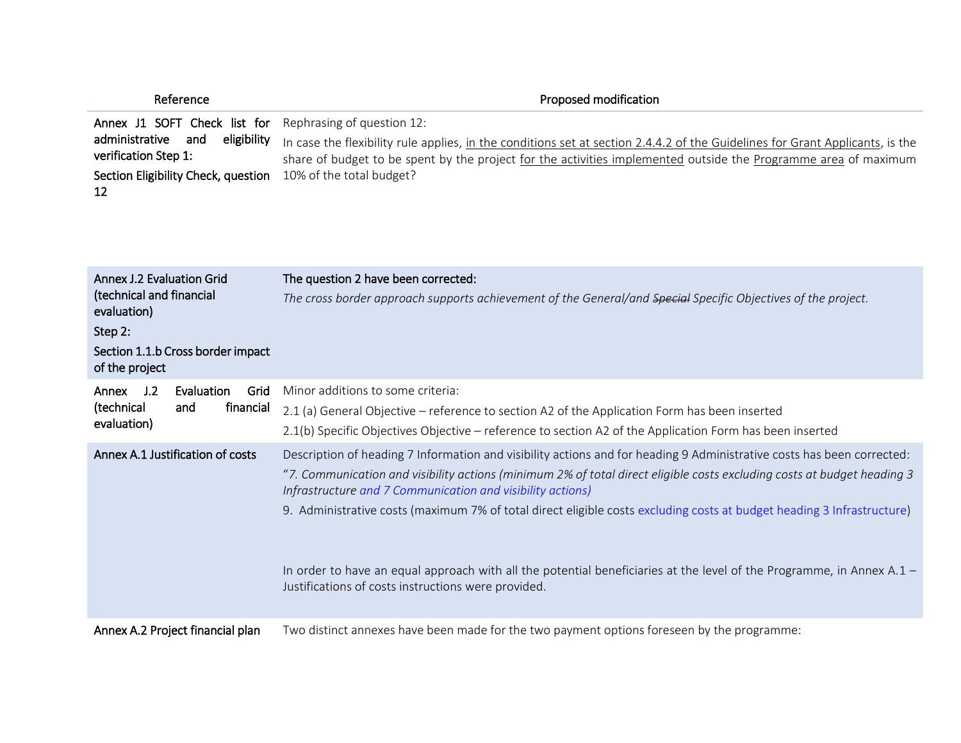| Reference                                                                                                               | Proposed modification                                                                                                                                                                                                                            |
|-------------------------------------------------------------------------------------------------------------------------|--------------------------------------------------------------------------------------------------------------------------------------------------------------------------------------------------------------------------------------------------|
| Annex J1 SOFT Check list for Rephrasing of question 12:<br>eligibility<br>administrative<br>and<br>verification Step 1: | In case the flexibility rule applies, in the conditions set at section 2.4.4.2 of the Guidelines for Grant Applicants, is the<br>share of budget to be spent by the project for the activities implemented outside the Programme area of maximum |
| Section Eligibility Check, question<br>12                                                                               | 10% of the total budget?                                                                                                                                                                                                                         |

| Annex J.2 Evaluation Grid<br>(technical and financial<br>evaluation)<br>Step 2:<br>Section 1.1.b Cross border impact | The question 2 have been corrected:<br>The cross border approach supports achievement of the General/and Special Specific Objectives of the project.                                                                                                                                                                                                                                                                                                                                                                                                                                                                      |
|----------------------------------------------------------------------------------------------------------------------|---------------------------------------------------------------------------------------------------------------------------------------------------------------------------------------------------------------------------------------------------------------------------------------------------------------------------------------------------------------------------------------------------------------------------------------------------------------------------------------------------------------------------------------------------------------------------------------------------------------------------|
| of the project                                                                                                       |                                                                                                                                                                                                                                                                                                                                                                                                                                                                                                                                                                                                                           |
| J.2<br>Evaluation<br>Grid<br>Annex<br>(technical<br>financial<br>and<br>evaluation)                                  | Minor additions to some criteria:<br>2.1 (a) General Objective – reference to section A2 of the Application Form has been inserted<br>2.1(b) Specific Objectives Objective – reference to section A2 of the Application Form has been inserted                                                                                                                                                                                                                                                                                                                                                                            |
| Annex A.1 Justification of costs                                                                                     | Description of heading 7 Information and visibility actions and for heading 9 Administrative costs has been corrected:<br>"7. Communication and visibility actions (minimum 2% of total direct eligible costs excluding costs at budget heading 3<br>Infrastructure and 7 Communication and visibility actions)<br>9. Administrative costs (maximum 7% of total direct eligible costs excluding costs at budget heading 3 Infrastructure)<br>In order to have an equal approach with all the potential beneficiaries at the level of the Programme, in Annex A.1 –<br>Justifications of costs instructions were provided. |
| Annex A.2 Project financial plan                                                                                     | Two distinct annexes have been made for the two payment options foreseen by the programme:                                                                                                                                                                                                                                                                                                                                                                                                                                                                                                                                |